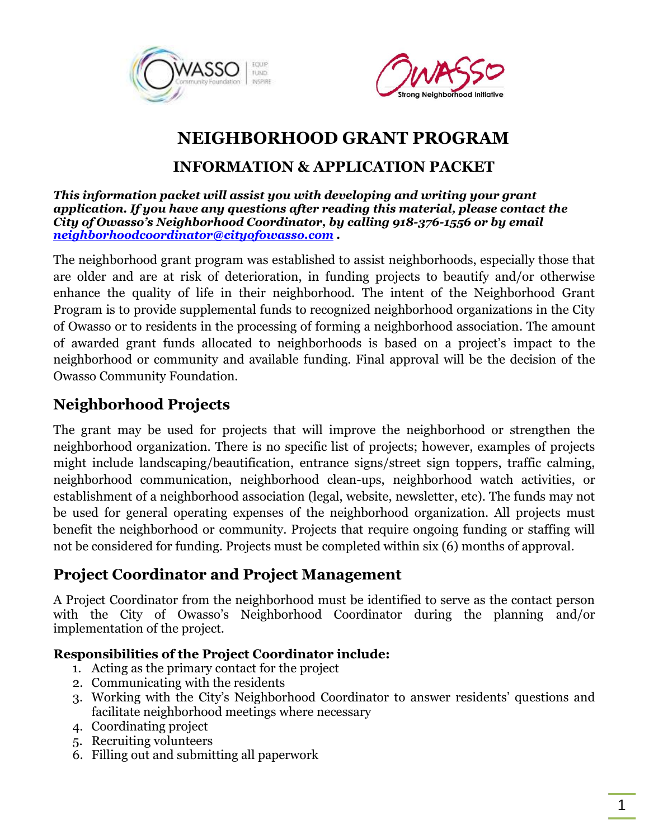



## **NEIGHBORHOOD GRANT PROGRAM**

### **INFORMATION & APPLICATION PACKET**

*This information packet will assist you with developing and writing your grant application. If you have any questions after reading this material, please contact the City of Owasso's Neighborhood Coordinator, by calling 918-376-1556 or by email [neighborhoodcoordinator@cityofowasso.com](mailto:neighborhoodcoordinator@cityofowasso.com) .* 

The neighborhood grant program was established to assist neighborhoods, especially those that are older and are at risk of deterioration, in funding projects to beautify and/or otherwise enhance the quality of life in their neighborhood. The intent of the Neighborhood Grant Program is to provide supplemental funds to recognized neighborhood organizations in the City of Owasso or to residents in the processing of forming a neighborhood association. The amount of awarded grant funds allocated to neighborhoods is based on a project's impact to the neighborhood or community and available funding. Final approval will be the decision of the Owasso Community Foundation.

### **Neighborhood Projects**

The grant may be used for projects that will improve the neighborhood or strengthen the neighborhood organization. There is no specific list of projects; however, examples of projects might include landscaping/beautification, entrance signs/street sign toppers, traffic calming, neighborhood communication, neighborhood clean-ups, neighborhood watch activities, or establishment of a neighborhood association (legal, website, newsletter, etc). The funds may not be used for general operating expenses of the neighborhood organization. All projects must benefit the neighborhood or community. Projects that require ongoing funding or staffing will not be considered for funding. Projects must be completed within six (6) months of approval.

### **Project Coordinator and Project Management**

A Project Coordinator from the neighborhood must be identified to serve as the contact person with the City of Owasso's Neighborhood Coordinator during the planning and/or implementation of the project.

#### **Responsibilities of the Project Coordinator include:**

- 1. Acting as the primary contact for the project
- 2. Communicating with the residents
- 3. Working with the City's Neighborhood Coordinator to answer residents' questions and facilitate neighborhood meetings where necessary
- 4. Coordinating project
- 5. Recruiting volunteers
- 6. Filling out and submitting all paperwork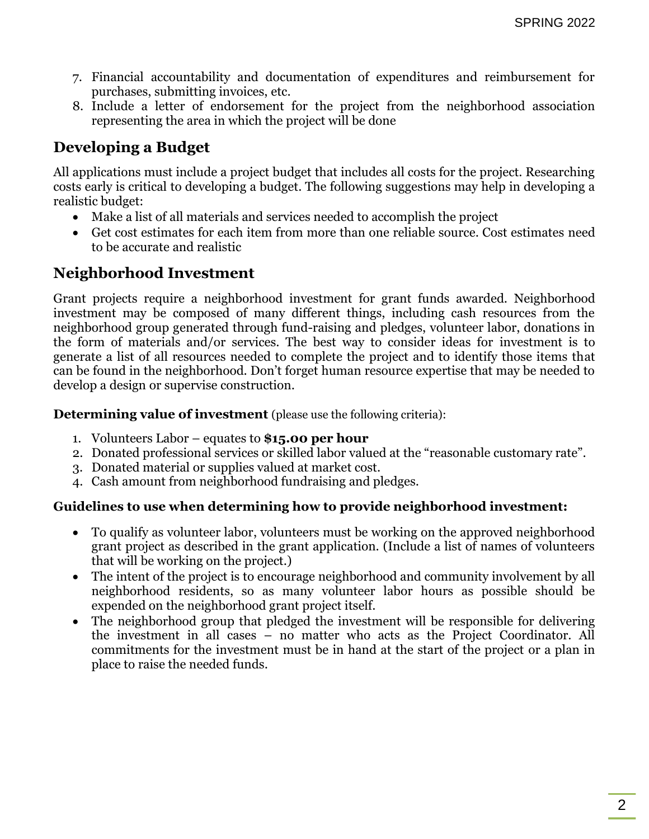- 7. Financial accountability and documentation of expenditures and reimbursement for purchases, submitting invoices, etc.
- 8. Include a letter of endorsement for the project from the neighborhood association representing the area in which the project will be done

## **Developing a Budget**

All applications must include a project budget that includes all costs for the project. Researching costs early is critical to developing a budget. The following suggestions may help in developing a realistic budget:

- Make a list of all materials and services needed to accomplish the project
- Get cost estimates for each item from more than one reliable source. Cost estimates need to be accurate and realistic

### **Neighborhood Investment**

Grant projects require a neighborhood investment for grant funds awarded. Neighborhood investment may be composed of many different things, including cash resources from the neighborhood group generated through fund-raising and pledges, volunteer labor, donations in the form of materials and/or services. The best way to consider ideas for investment is to generate a list of all resources needed to complete the project and to identify those items that can be found in the neighborhood. Don't forget human resource expertise that may be needed to develop a design or supervise construction.

**Determining value of investment** (please use the following criteria):

- 1. Volunteers Labor equates to **\$15.00 per hour**
- 2. Donated professional services or skilled labor valued at the "reasonable customary rate".
- 3. Donated material or supplies valued at market cost.
- 4. Cash amount from neighborhood fundraising and pledges.

#### **Guidelines to use when determining how to provide neighborhood investment:**

- To qualify as volunteer labor, volunteers must be working on the approved neighborhood grant project as described in the grant application. (Include a list of names of volunteers that will be working on the project.)
- The intent of the project is to encourage neighborhood and community involvement by all neighborhood residents, so as many volunteer labor hours as possible should be expended on the neighborhood grant project itself.
- The neighborhood group that pledged the investment will be responsible for delivering the investment in all cases – no matter who acts as the Project Coordinator. All commitments for the investment must be in hand at the start of the project or a plan in place to raise the needed funds.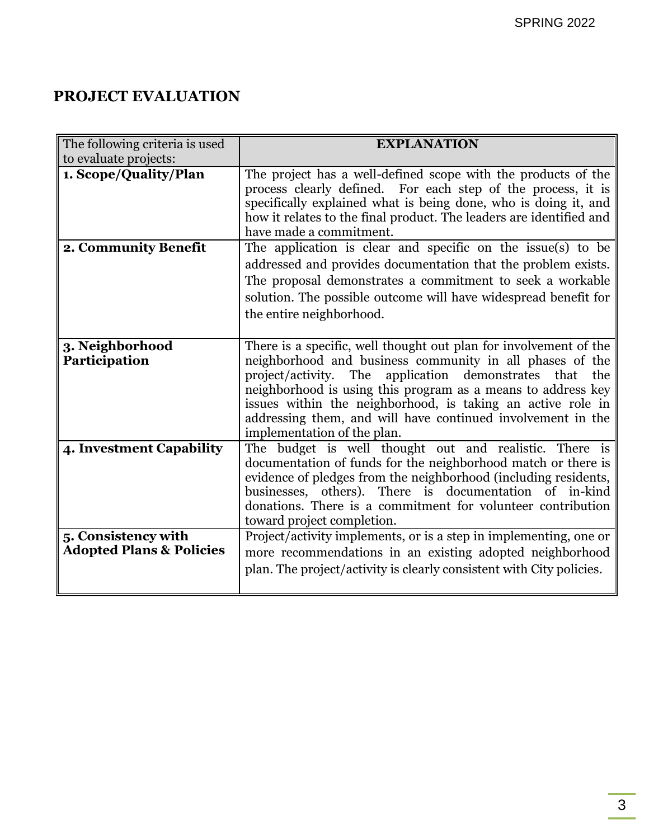## **PROJECT EVALUATION**

| The following criteria is used      | <b>EXPLANATION</b>                                                                                                                                                                                                                                                                                 |
|-------------------------------------|----------------------------------------------------------------------------------------------------------------------------------------------------------------------------------------------------------------------------------------------------------------------------------------------------|
| to evaluate projects:               |                                                                                                                                                                                                                                                                                                    |
| 1. Scope/Quality/Plan               | The project has a well-defined scope with the products of the<br>process clearly defined. For each step of the process, it is<br>specifically explained what is being done, who is doing it, and<br>how it relates to the final product. The leaders are identified and<br>have made a commitment. |
| 2. Community Benefit                | The application is clear and specific on the issue(s) to be                                                                                                                                                                                                                                        |
|                                     | addressed and provides documentation that the problem exists.                                                                                                                                                                                                                                      |
|                                     | The proposal demonstrates a commitment to seek a workable                                                                                                                                                                                                                                          |
|                                     | solution. The possible outcome will have widespread benefit for                                                                                                                                                                                                                                    |
|                                     | the entire neighborhood.                                                                                                                                                                                                                                                                           |
|                                     |                                                                                                                                                                                                                                                                                                    |
| 3. Neighborhood<br>Participation    | There is a specific, well thought out plan for involvement of the<br>neighborhood and business community in all phases of the                                                                                                                                                                      |
|                                     | project/activity. The<br>application demonstrates that the<br>neighborhood is using this program as a means to address key                                                                                                                                                                         |
|                                     | issues within the neighborhood, is taking an active role in                                                                                                                                                                                                                                        |
|                                     | addressing them, and will have continued involvement in the                                                                                                                                                                                                                                        |
|                                     | implementation of the plan.                                                                                                                                                                                                                                                                        |
| 4. Investment Capability            | The budget is well thought out and realistic. There is                                                                                                                                                                                                                                             |
|                                     | documentation of funds for the neighborhood match or there is                                                                                                                                                                                                                                      |
|                                     | evidence of pledges from the neighborhood (including residents,                                                                                                                                                                                                                                    |
|                                     | businesses, others). There is documentation of in-kind                                                                                                                                                                                                                                             |
|                                     | donations. There is a commitment for volunteer contribution                                                                                                                                                                                                                                        |
|                                     | toward project completion.                                                                                                                                                                                                                                                                         |
| 5. Consistency with                 | Project/activity implements, or is a step in implementing, one or                                                                                                                                                                                                                                  |
| <b>Adopted Plans &amp; Policies</b> | more recommendations in an existing adopted neighborhood                                                                                                                                                                                                                                           |
|                                     | plan. The project/activity is clearly consistent with City policies.                                                                                                                                                                                                                               |
|                                     |                                                                                                                                                                                                                                                                                                    |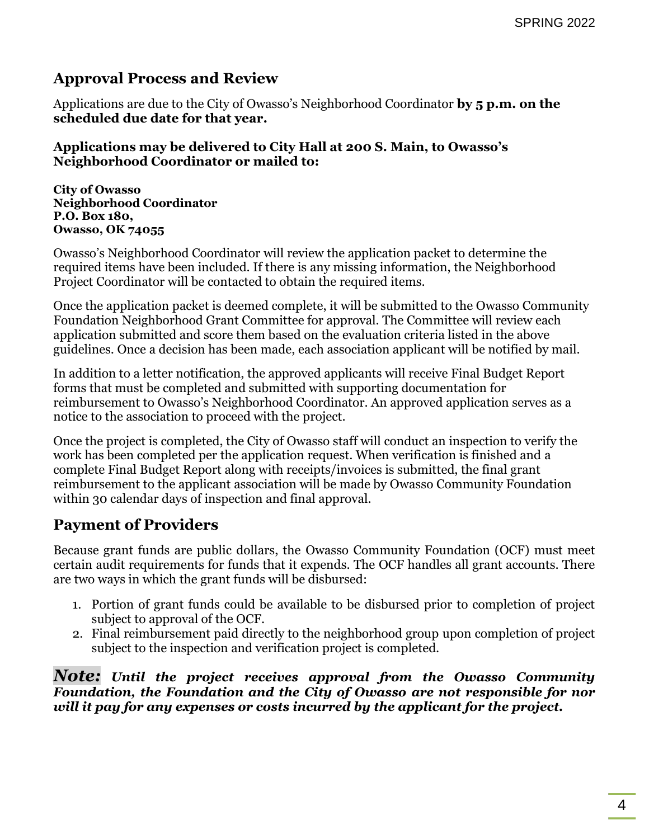### **Approval Process and Review**

Applications are due to the City of Owasso's Neighborhood Coordinator **by 5 p.m. on the scheduled due date for that year.**

#### **Applications may be delivered to City Hall at 200 S. Main, to Owasso's Neighborhood Coordinator or mailed to:**

**City of Owasso Neighborhood Coordinator P.O. Box 180, Owasso, OK 74055** 

Owasso's Neighborhood Coordinator will review the application packet to determine the required items have been included. If there is any missing information, the Neighborhood Project Coordinator will be contacted to obtain the required items.

Once the application packet is deemed complete, it will be submitted to the Owasso Community Foundation Neighborhood Grant Committee for approval. The Committee will review each application submitted and score them based on the evaluation criteria listed in the above guidelines. Once a decision has been made, each association applicant will be notified by mail.

In addition to a letter notification, the approved applicants will receive Final Budget Report forms that must be completed and submitted with supporting documentation for reimbursement to Owasso's Neighborhood Coordinator. An approved application serves as a notice to the association to proceed with the project.

Once the project is completed, the City of Owasso staff will conduct an inspection to verify the work has been completed per the application request. When verification is finished and a complete Final Budget Report along with receipts/invoices is submitted, the final grant reimbursement to the applicant association will be made by Owasso Community Foundation within 30 calendar days of inspection and final approval.

### **Payment of Providers**

Because grant funds are public dollars, the Owasso Community Foundation (OCF) must meet certain audit requirements for funds that it expends. The OCF handles all grant accounts. There are two ways in which the grant funds will be disbursed:

- 1. Portion of grant funds could be available to be disbursed prior to completion of project subject to approval of the OCF.
- 2. Final reimbursement paid directly to the neighborhood group upon completion of project subject to the inspection and verification project is completed.

*Note: Until the project receives approval from the Owasso Community Foundation, the Foundation and the City of Owasso are not responsible for nor will it pay for any expenses or costs incurred by the applicant for the project.*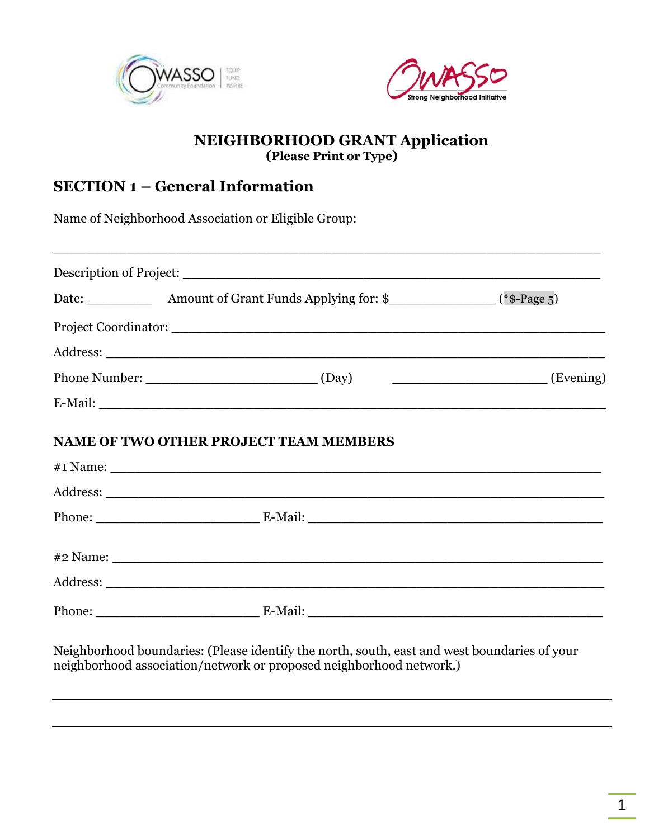



#### **NEIGHBORHOOD GRANT Application (Please Print or Type)**

### **SECTION 1 – General Information**

Name of Neighborhood Association or Eligible Group:

| <b>NAME OF TWO OTHER PROJECT TEAM MEMBERS</b> |  |
|-----------------------------------------------|--|
|                                               |  |
|                                               |  |
|                                               |  |
|                                               |  |
|                                               |  |

Neighborhood boundaries: (Please identify the north, south, east and west boundaries of your neighborhood association/network or proposed neighborhood network.)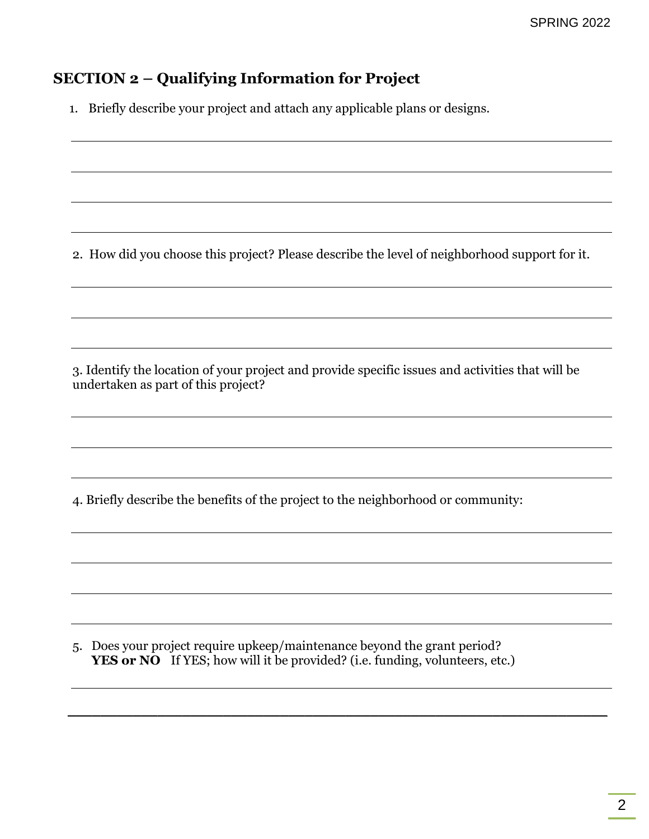## **SECTION 2 – Qualifying Information for Project**

1. Briefly describe your project and attach any applicable plans or designs.

2. How did you choose this project? Please describe the level of neighborhood support for it.

3. Identify the location of your project and provide specific issues and activities that will be undertaken as part of this project?

4. Briefly describe the benefits of the project to the neighborhood or community:

5. Does your project require upkeep/maintenance beyond the grant period? **YES or NO** If YES; how will it be provided? (i.e. funding, volunteers, etc.)

\_\_\_\_\_\_\_\_\_\_\_\_\_\_\_\_\_\_\_\_\_\_\_\_\_\_\_\_\_\_\_\_\_\_\_\_\_\_\_\_\_\_\_\_\_\_\_\_\_\_\_\_\_\_\_\_\_\_\_\_\_\_\_\_\_\_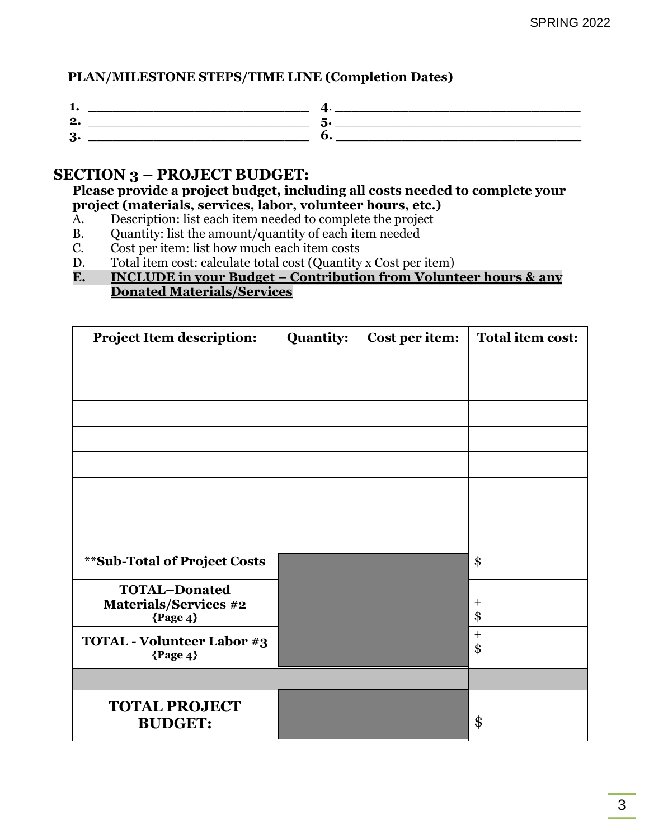#### **PLAN/MILESTONE STEPS/TIME LINE (Completion Dates)**

| - |  |
|---|--|
|   |  |
| O |  |

#### **SECTION 3 – PROJECT BUDGET:**

**Please provide a project budget, including all costs needed to complete your project (materials, services, labor, volunteer hours, etc.)**

- A. Description: list each item needed to complete the project
- B. Quantity: list the amount/quantity of each item needed
- C. Cost per item: list how much each item costs
- D. Total item cost: calculate total cost (Quantity x Cost per item)
- **E. INCLUDE in your Budget – Contribution from Volunteer hours & any Donated Materials/Services**

| <b>Project Item description:</b>                                   | <b>Quantity:</b> | Cost per item: | <b>Total item cost:</b> |
|--------------------------------------------------------------------|------------------|----------------|-------------------------|
|                                                                    |                  |                |                         |
|                                                                    |                  |                |                         |
|                                                                    |                  |                |                         |
|                                                                    |                  |                |                         |
|                                                                    |                  |                |                         |
|                                                                    |                  |                |                         |
|                                                                    |                  |                |                         |
|                                                                    |                  |                |                         |
| <b>**Sub-Total of Project Costs</b>                                |                  |                | \$                      |
| <b>TOTAL-Donated</b><br><b>Materials/Services #2</b><br>${Page 4}$ |                  |                | $\pm$<br>\$             |
| <b>TOTAL - Volunteer Labor #3</b><br>${Page 4}$                    |                  |                | $\overline{+}$<br>\$    |
|                                                                    |                  |                |                         |
| <b>TOTAL PROJECT</b><br><b>BUDGET:</b>                             |                  |                | \$                      |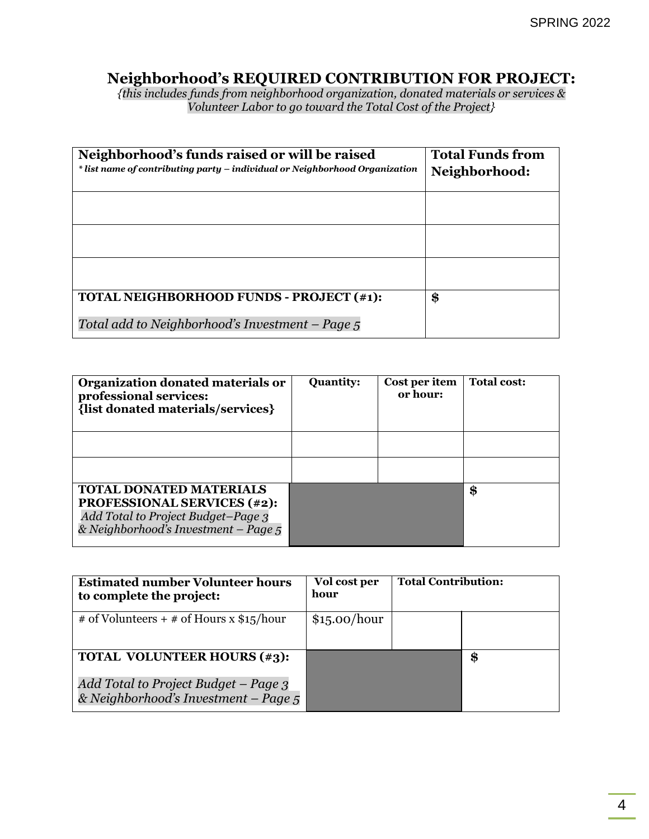#### **Neighborhood's REQUIRED CONTRIBUTION FOR PROJECT:**

*{this includes funds from neighborhood organization, donated materials or services & Volunteer Labor to go toward the Total Cost of the Project}*

| Neighborhood's funds raised or will be raised<br>* list name of contributing party – individual or Neighborhood Organization | <b>Total Funds from</b><br>Neighborhood: |
|------------------------------------------------------------------------------------------------------------------------------|------------------------------------------|
|                                                                                                                              |                                          |
|                                                                                                                              |                                          |
|                                                                                                                              |                                          |
|                                                                                                                              |                                          |
|                                                                                                                              |                                          |
| TOTAL NEIGHBORHOOD FUNDS - PROJECT (#1):                                                                                     | \$                                       |
| Total add to Neighborhood's Investment – Page 5                                                                              |                                          |

| Organization donated materials or<br>professional services:<br>{list donated materials/services}                                                   | <b>Quantity:</b> | Cost per item<br>or hour: | <b>Total cost:</b> |
|----------------------------------------------------------------------------------------------------------------------------------------------------|------------------|---------------------------|--------------------|
|                                                                                                                                                    |                  |                           |                    |
|                                                                                                                                                    |                  |                           |                    |
| <b>TOTAL DONATED MATERIALS</b><br><b>PROFESSIONAL SERVICES (#2):</b><br>Add Total to Project Budget-Page 3<br>& Neighborhood's Investment – Page 5 |                  |                           | \$                 |

| <b>Estimated number Volunteer hours</b><br>to complete the project:          | Vol cost per<br>hour | <b>Total Contribution:</b> |    |
|------------------------------------------------------------------------------|----------------------|----------------------------|----|
| # of Volunteers + # of Hours x $$15/hour$                                    | \$15.00/hour         |                            |    |
| <b>TOTAL VOLUNTEER HOURS (#3):</b>                                           |                      |                            | \$ |
| Add Total to Project Budget – Page 3<br>& Neighborhood's Investment - Page 5 |                      |                            |    |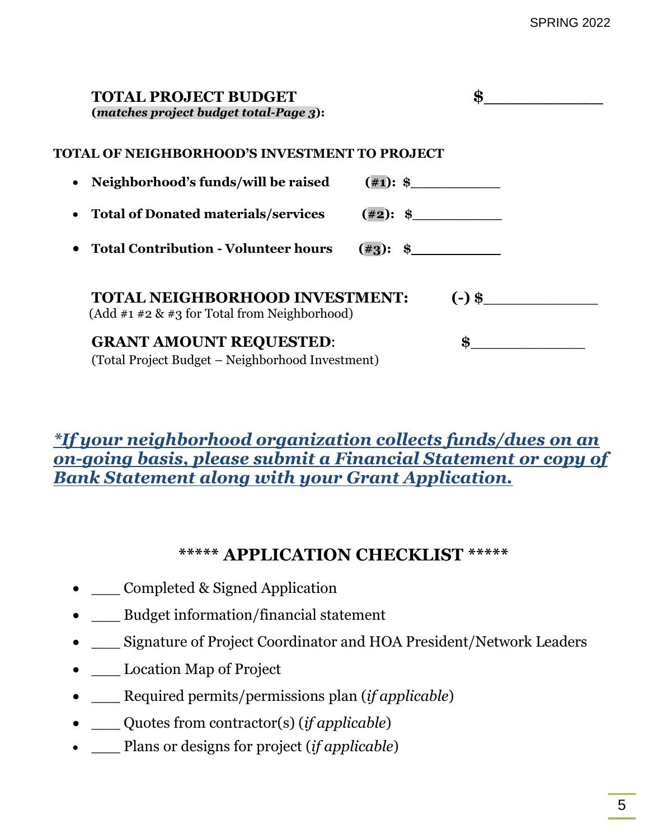| <b>TOTAL PROJECT BUDGET</b><br>(matches project budget total-Page 3):                    | \$          |
|------------------------------------------------------------------------------------------|-------------|
| TOTAL OF NEIGHBORHOOD'S INVESTMENT TO PROJECT                                            |             |
| Neighborhood's funds/will be raised                                                      |             |
| <b>Total of Donated materials/services</b>                                               | $(\#2):$ \$ |
| <b>Total Contribution - Volunteer hours</b>                                              | $(\#3):$ \$ |
| <b>TOTAL NEIGHBORHOOD INVESTMENT:</b><br>$(Add #1 #2 & 43 for Total from Neighbourhood)$ | $(-)$ \$    |
| <b>GRANT AMOUNT REQUESTED:</b><br>(Total Project Budget – Neighborhood Investment)       | \$          |

# *\*If your neighborhood organization collects funds/dues on an on-going basis, please submit a Financial Statement or copy of Bank Statement along with your Grant Application.*

# **\*\*\*\*\* APPLICATION CHECKLIST \*\*\*\*\***

- Completed & Signed Application
- \_\_\_ Budget information/financial statement
- \_\_\_ Signature of Project Coordinator and HOA President/Network Leaders
- \_\_\_ Location Map of Project
- \_\_\_ Required permits/permissions plan (*if applicable*)
- \_\_\_ Quotes from contractor(s) (*if applicable*)
- \_\_\_ Plans or designs for project (*if applicable*)